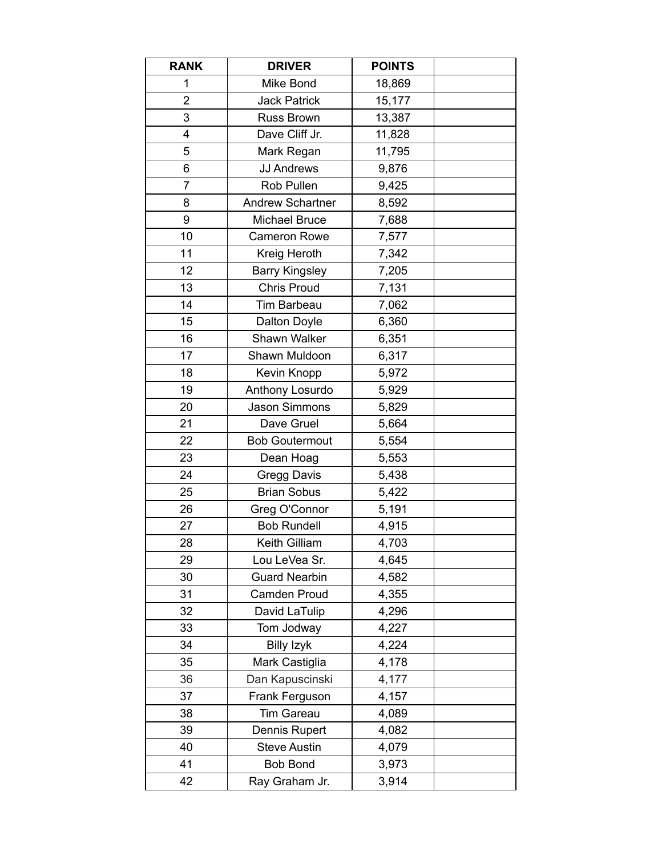| <b>RANK</b>    | <b>DRIVER</b>           | <b>POINTS</b> |  |
|----------------|-------------------------|---------------|--|
| 1              | Mike Bond               | 18,869        |  |
| $\overline{2}$ | <b>Jack Patrick</b>     | 15,177        |  |
| 3              | <b>Russ Brown</b>       | 13,387        |  |
| 4              | Dave Cliff Jr.          | 11,828        |  |
| 5              | Mark Regan              | 11,795        |  |
| 6              | <b>JJ Andrews</b>       | 9,876         |  |
| $\overline{7}$ | Rob Pullen              | 9,425         |  |
| 8              | <b>Andrew Schartner</b> | 8,592         |  |
| 9              | Michael Bruce           | 7,688         |  |
| 10             | <b>Cameron Rowe</b>     | 7,577         |  |
| 11             | Kreig Heroth            | 7,342         |  |
| 12             | <b>Barry Kingsley</b>   | 7,205         |  |
| 13             | <b>Chris Proud</b>      | 7,131         |  |
| 14             | <b>Tim Barbeau</b>      | 7,062         |  |
| 15             | Dalton Doyle            | 6,360         |  |
| 16             | Shawn Walker            | 6,351         |  |
| 17             | Shawn Muldoon           | 6,317         |  |
| 18             | Kevin Knopp             | 5,972         |  |
| 19             | Anthony Losurdo         | 5,929         |  |
| 20             | Jason Simmons           | 5,829         |  |
| 21             | Dave Gruel              | 5,664         |  |
| 22             | <b>Bob Goutermout</b>   | 5,554         |  |
| 23             | Dean Hoag               | 5,553         |  |
| 24             | <b>Gregg Davis</b>      | 5,438         |  |
| 25             | <b>Brian Sobus</b>      | 5,422         |  |
| 26             | Greg O'Connor           | 5,191         |  |
| 27             | <b>Bob Rundell</b>      | 4,915         |  |
| 28             | Keith Gilliam           | 4,703         |  |
| 29             | Lou LeVea Sr.           | 4,645         |  |
| 30             | <b>Guard Nearbin</b>    | 4,582         |  |
| 31             | <b>Camden Proud</b>     | 4,355         |  |
| 32             | David LaTulip           | 4,296         |  |
| 33             | Tom Jodway              | 4,227         |  |
| 34             | <b>Billy Izyk</b>       | 4,224         |  |
| 35             | Mark Castiglia          | 4,178         |  |
| 36             | Dan Kapuscinski         | 4,177         |  |
| 37             | Frank Ferguson          | 4,157         |  |
| 38             | <b>Tim Gareau</b>       | 4,089         |  |
| 39             | Dennis Rupert           | 4,082         |  |
| 40             | <b>Steve Austin</b>     | 4,079         |  |
| 41             | <b>Bob Bond</b>         | 3,973         |  |
| 42             | Ray Graham Jr.          | 3,914         |  |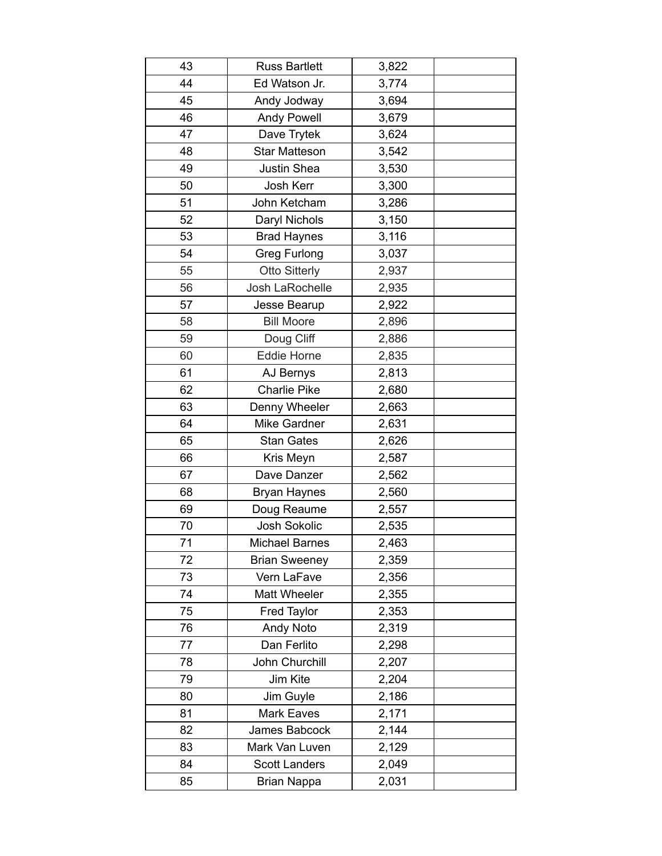| 43 | <b>Russ Bartlett</b> | 3,822 |  |
|----|----------------------|-------|--|
| 44 | Ed Watson Jr.        | 3,774 |  |
| 45 | Andy Jodway          | 3,694 |  |
| 46 | <b>Andy Powell</b>   | 3,679 |  |
| 47 | Dave Trytek          | 3,624 |  |
| 48 | <b>Star Matteson</b> | 3,542 |  |
| 49 | Justin Shea          | 3,530 |  |
| 50 | Josh Kerr            | 3,300 |  |
| 51 | John Ketcham         | 3,286 |  |
| 52 | Daryl Nichols        | 3,150 |  |
| 53 | <b>Brad Haynes</b>   | 3,116 |  |
| 54 | <b>Greg Furlong</b>  | 3,037 |  |
| 55 | <b>Otto Sitterly</b> | 2,937 |  |
| 56 | Josh LaRochelle      | 2,935 |  |
| 57 | Jesse Bearup         | 2,922 |  |
| 58 | <b>Bill Moore</b>    | 2,896 |  |
| 59 | Doug Cliff           | 2,886 |  |
| 60 | <b>Eddie Horne</b>   | 2,835 |  |
| 61 | AJ Bernys            | 2,813 |  |
| 62 | <b>Charlie Pike</b>  | 2,680 |  |
| 63 | Denny Wheeler        | 2,663 |  |
| 64 | Mike Gardner         | 2,631 |  |
| 65 | <b>Stan Gates</b>    | 2,626 |  |
| 66 | Kris Meyn            | 2,587 |  |
| 67 | Dave Danzer          | 2,562 |  |
| 68 | <b>Bryan Haynes</b>  | 2,560 |  |
| 69 | Doug Reaume          | 2,557 |  |
| 70 | Josh Sokolic         | 2,535 |  |
| 71 | Michael Barnes       | 2,463 |  |
| 72 | <b>Brian Sweeney</b> | 2,359 |  |
| 73 | Vern LaFave          | 2,356 |  |
| 74 | Matt Wheeler         | 2,355 |  |
| 75 | <b>Fred Taylor</b>   | 2,353 |  |
| 76 | Andy Noto            | 2,319 |  |
| 77 | Dan Ferlito          | 2,298 |  |
| 78 | John Churchill       | 2,207 |  |
| 79 | Jim Kite             | 2,204 |  |
| 80 | Jim Guyle            | 2,186 |  |
| 81 | <b>Mark Eaves</b>    | 2,171 |  |
| 82 | James Babcock        | 2,144 |  |
| 83 | Mark Van Luven       | 2,129 |  |
| 84 | <b>Scott Landers</b> | 2,049 |  |
| 85 | <b>Brian Nappa</b>   | 2,031 |  |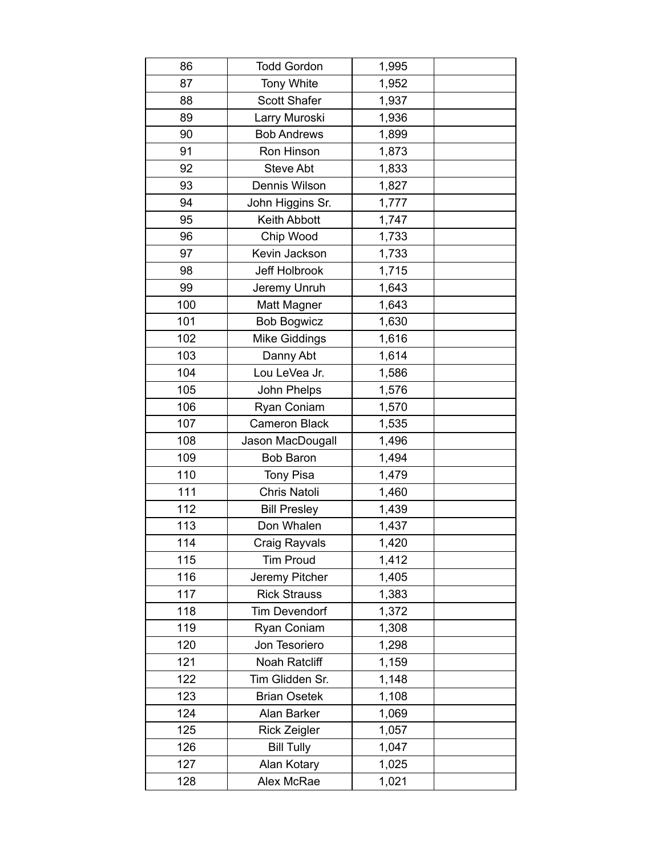| 86  | <b>Todd Gordon</b>   | 1,995 |  |
|-----|----------------------|-------|--|
| 87  | <b>Tony White</b>    | 1,952 |  |
| 88  | <b>Scott Shafer</b>  | 1,937 |  |
| 89  | Larry Muroski        | 1,936 |  |
| 90  | <b>Bob Andrews</b>   | 1,899 |  |
| 91  | Ron Hinson           | 1,873 |  |
| 92  | <b>Steve Abt</b>     | 1,833 |  |
| 93  | Dennis Wilson        | 1,827 |  |
| 94  | John Higgins Sr.     | 1,777 |  |
| 95  | <b>Keith Abbott</b>  | 1,747 |  |
| 96  | Chip Wood            | 1,733 |  |
| 97  | Kevin Jackson        | 1,733 |  |
| 98  | Jeff Holbrook        | 1,715 |  |
| 99  | Jeremy Unruh         | 1,643 |  |
| 100 | <b>Matt Magner</b>   | 1,643 |  |
| 101 | <b>Bob Bogwicz</b>   | 1,630 |  |
| 102 | <b>Mike Giddings</b> | 1,616 |  |
| 103 | Danny Abt            | 1,614 |  |
| 104 | Lou LeVea Jr.        | 1,586 |  |
| 105 | John Phelps          | 1,576 |  |
| 106 | Ryan Coniam          | 1,570 |  |
| 107 | <b>Cameron Black</b> | 1,535 |  |
| 108 | Jason MacDougall     | 1,496 |  |
| 109 | <b>Bob Baron</b>     | 1,494 |  |
| 110 | <b>Tony Pisa</b>     | 1,479 |  |
| 111 | Chris Natoli         | 1,460 |  |
| 112 | <b>Bill Presley</b>  | 1,439 |  |
| 113 | Don Whalen           | 1,437 |  |
| 114 | Craig Rayvals        | 1,420 |  |
| 115 | <b>Tim Proud</b>     | 1,412 |  |
| 116 | Jeremy Pitcher       | 1,405 |  |
| 117 | <b>Rick Strauss</b>  | 1,383 |  |
| 118 | <b>Tim Devendorf</b> | 1,372 |  |
| 119 | Ryan Coniam          | 1,308 |  |
| 120 | Jon Tesoriero        | 1,298 |  |
| 121 | <b>Noah Ratcliff</b> | 1,159 |  |
| 122 | Tim Glidden Sr.      | 1,148 |  |
| 123 | <b>Brian Osetek</b>  | 1,108 |  |
| 124 | Alan Barker          | 1,069 |  |
| 125 | <b>Rick Zeigler</b>  | 1,057 |  |
| 126 | <b>Bill Tully</b>    | 1,047 |  |
| 127 | Alan Kotary          | 1,025 |  |
| 128 | Alex McRae           | 1,021 |  |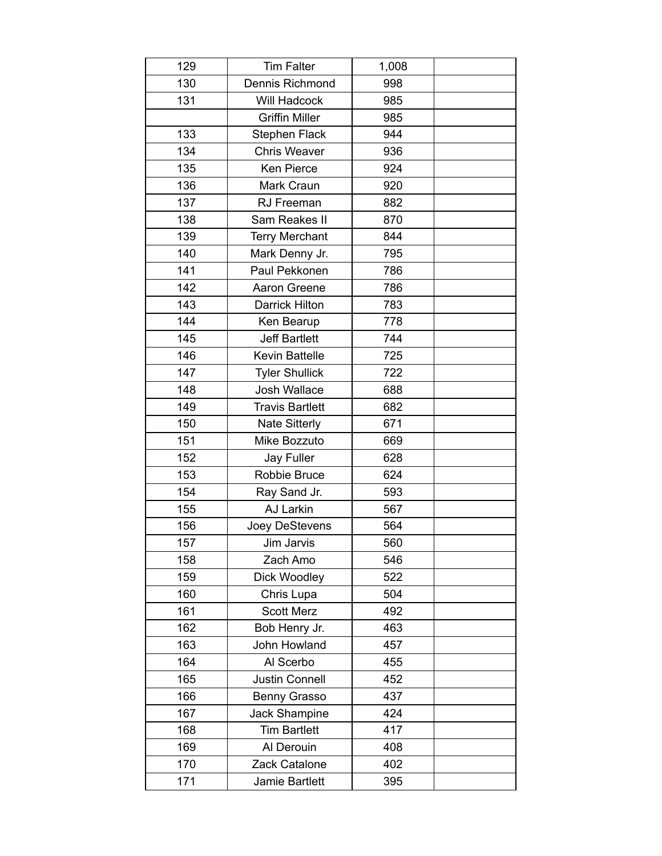| 129 | <b>Tim Falter</b>      | 1,008 |  |
|-----|------------------------|-------|--|
| 130 | Dennis Richmond        | 998   |  |
| 131 | Will Hadcock           | 985   |  |
|     | <b>Griffin Miller</b>  | 985   |  |
| 133 | <b>Stephen Flack</b>   | 944   |  |
| 134 | <b>Chris Weaver</b>    | 936   |  |
| 135 | <b>Ken Pierce</b>      | 924   |  |
| 136 | Mark Craun             | 920   |  |
| 137 | RJ Freeman             | 882   |  |
| 138 | Sam Reakes II          | 870   |  |
| 139 | <b>Terry Merchant</b>  | 844   |  |
| 140 | Mark Denny Jr.         | 795   |  |
| 141 | Paul Pekkonen          | 786   |  |
| 142 | Aaron Greene           | 786   |  |
| 143 | Darrick Hilton         | 783   |  |
| 144 | Ken Bearup             | 778   |  |
| 145 | <b>Jeff Bartlett</b>   | 744   |  |
| 146 | <b>Kevin Battelle</b>  | 725   |  |
| 147 | <b>Tyler Shullick</b>  | 722   |  |
| 148 | <b>Josh Wallace</b>    | 688   |  |
| 149 | <b>Travis Bartlett</b> | 682   |  |
| 150 | <b>Nate Sitterly</b>   | 671   |  |
| 151 | Mike Bozzuto           | 669   |  |
| 152 | Jay Fuller             | 628   |  |
| 153 | Robbie Bruce           | 624   |  |
| 154 | Ray Sand Jr.           | 593   |  |
| 155 | AJ Larkin              | 567   |  |
| 156 | Joey DeStevens         | 564   |  |
| 157 | Jim Jarvis             | 560   |  |
| 158 | Zach Amo               | 546   |  |
| 159 | Dick Woodley           | 522   |  |
| 160 | Chris Lupa             | 504   |  |
| 161 | <b>Scott Merz</b>      | 492   |  |
| 162 | Bob Henry Jr.          | 463   |  |
| 163 | John Howland           | 457   |  |
| 164 | Al Scerbo              | 455   |  |
| 165 | <b>Justin Connell</b>  | 452   |  |
| 166 | Benny Grasso           | 437   |  |
| 167 | Jack Shampine          | 424   |  |
| 168 | <b>Tim Bartlett</b>    | 417   |  |
| 169 | Al Derouin             | 408   |  |
| 170 | Zack Catalone          | 402   |  |
| 171 | Jamie Bartlett         | 395   |  |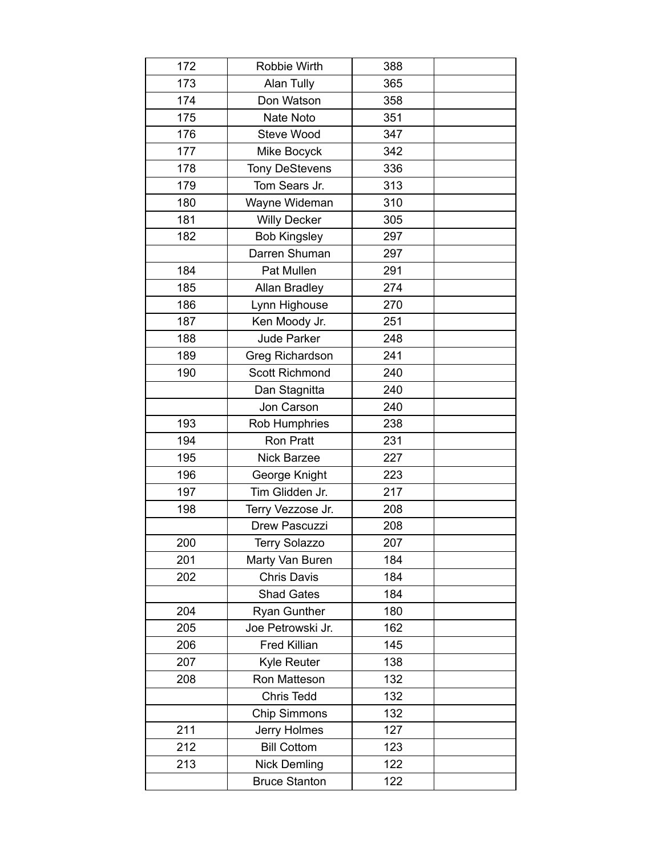| 172 | Robbie Wirth          | 388 |  |
|-----|-----------------------|-----|--|
| 173 | Alan Tully            | 365 |  |
| 174 | Don Watson            | 358 |  |
| 175 | Nate Noto             | 351 |  |
| 176 | <b>Steve Wood</b>     | 347 |  |
| 177 | Mike Bocyck           | 342 |  |
| 178 | <b>Tony DeStevens</b> | 336 |  |
| 179 | Tom Sears Jr.         | 313 |  |
| 180 | Wayne Wideman         | 310 |  |
| 181 | <b>Willy Decker</b>   | 305 |  |
| 182 | <b>Bob Kingsley</b>   | 297 |  |
|     | Darren Shuman         | 297 |  |
| 184 | Pat Mullen            | 291 |  |
| 185 | <b>Allan Bradley</b>  | 274 |  |
| 186 | Lynn Highouse         | 270 |  |
| 187 | Ken Moody Jr.         | 251 |  |
| 188 | Jude Parker           | 248 |  |
| 189 | Greg Richardson       | 241 |  |
| 190 | <b>Scott Richmond</b> | 240 |  |
|     | Dan Stagnitta         | 240 |  |
|     | Jon Carson            | 240 |  |
| 193 | Rob Humphries         | 238 |  |
| 194 | <b>Ron Pratt</b>      | 231 |  |
| 195 | <b>Nick Barzee</b>    | 227 |  |
| 196 | George Knight         | 223 |  |
| 197 | Tim Glidden Jr.       | 217 |  |
| 198 | Terry Vezzose Jr.     | 208 |  |
|     | Drew Pascuzzi         | 208 |  |
| 200 | <b>Terry Solazzo</b>  | 207 |  |
| 201 | Marty Van Buren       | 184 |  |
| 202 | <b>Chris Davis</b>    | 184 |  |
|     | <b>Shad Gates</b>     | 184 |  |
| 204 | Ryan Gunther          | 180 |  |
| 205 | Joe Petrowski Jr.     | 162 |  |
| 206 | <b>Fred Killian</b>   | 145 |  |
| 207 | <b>Kyle Reuter</b>    | 138 |  |
| 208 | Ron Matteson          | 132 |  |
|     | Chris Tedd            | 132 |  |
|     | <b>Chip Simmons</b>   | 132 |  |
| 211 | Jerry Holmes          | 127 |  |
| 212 | <b>Bill Cottom</b>    | 123 |  |
| 213 | <b>Nick Demling</b>   | 122 |  |
|     | <b>Bruce Stanton</b>  | 122 |  |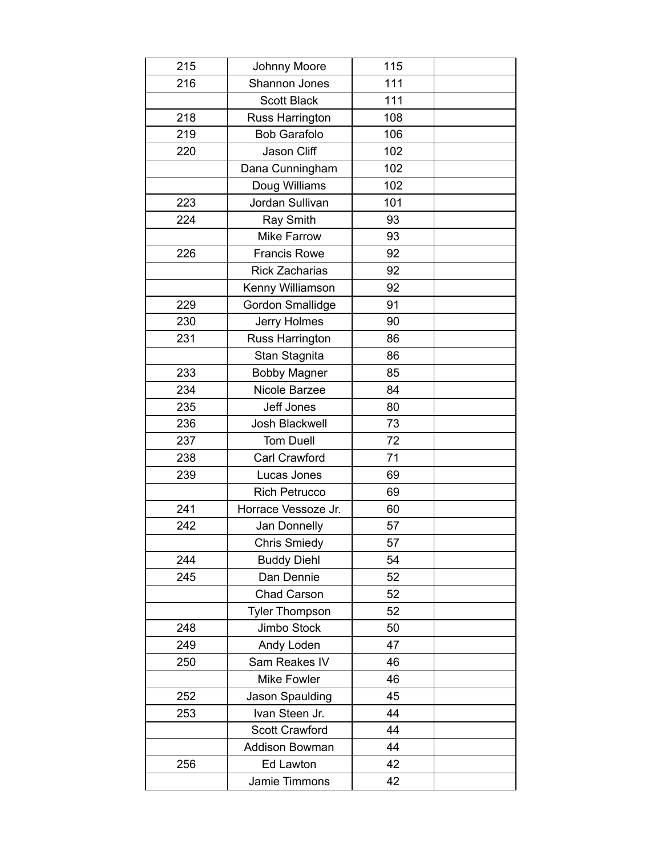| 215 | Johnny Moore            | 115 |  |
|-----|-------------------------|-----|--|
| 216 | Shannon Jones           | 111 |  |
|     | <b>Scott Black</b>      | 111 |  |
| 218 | <b>Russ Harrington</b>  | 108 |  |
| 219 | <b>Bob Garafolo</b>     | 106 |  |
| 220 | Jason Cliff             | 102 |  |
|     | Dana Cunningham         | 102 |  |
|     | Doug Williams           | 102 |  |
| 223 | Jordan Sullivan         | 101 |  |
| 224 | Ray Smith               | 93  |  |
|     | <b>Mike Farrow</b>      | 93  |  |
| 226 | <b>Francis Rowe</b>     | 92  |  |
|     | <b>Rick Zacharias</b>   | 92  |  |
|     | Kenny Williamson        | 92  |  |
| 229 | <b>Gordon Smallidge</b> | 91  |  |
| 230 | Jerry Holmes            | 90  |  |
| 231 | Russ Harrington         | 86  |  |
|     | Stan Stagnita           | 86  |  |
| 233 | <b>Bobby Magner</b>     | 85  |  |
| 234 | Nicole Barzee           | 84  |  |
| 235 | Jeff Jones              | 80  |  |
| 236 | Josh Blackwell          | 73  |  |
| 237 | <b>Tom Duell</b>        | 72  |  |
| 238 | Carl Crawford           | 71  |  |
| 239 | Lucas Jones             | 69  |  |
|     | <b>Rich Petrucco</b>    | 69  |  |
| 241 | Horrace Vessoze Jr.     | 60  |  |
| 242 | Jan Donnelly            | 57  |  |
|     | <b>Chris Smiedy</b>     | 57  |  |
| 244 | <b>Buddy Diehl</b>      | 54  |  |
| 245 | Dan Dennie              | 52  |  |
|     | Chad Carson             | 52  |  |
|     | <b>Tyler Thompson</b>   | 52  |  |
| 248 | Jimbo Stock             | 50  |  |
| 249 | Andy Loden              | 47  |  |
| 250 | Sam Reakes IV           | 46  |  |
|     | <b>Mike Fowler</b>      | 46  |  |
| 252 | Jason Spaulding         | 45  |  |
| 253 | Ivan Steen Jr.          | 44  |  |
|     | <b>Scott Crawford</b>   | 44  |  |
|     | Addison Bowman          | 44  |  |
| 256 | Ed Lawton               | 42  |  |
|     | Jamie Timmons           | 42  |  |